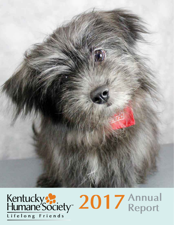

# **Lifelong Friends 2017 Annual Report**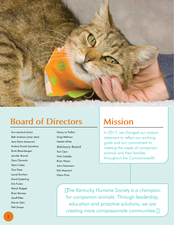

### **Board of Directors Mission**

Ann Leonard (chair) Beth Andrews (chair elect) Jena Stone (treasurer) Andrea Duvall (secretary) Brink Bloembergen Jennifer Branch Gary Clements Steve Codey Tony Deye Laurel Durham David Easterling Erik Furlan Patrick Padgett Brian Ramsey Geoff Ritter Darren Stein Patti Swope

Nancy Jo Trafton Greg Wellman Natalie White Advisory Board Toni Clem Nick Costides Brian Haara John Hassmann Rick Maynard Glenn Price

In 2017, we changed our mission statement to reflect our evolving goals and our commitment to meeting the needs of companion animals and their families throughout the Commonwealth.

"The Kentucky Humane Society is a champion for companion animals. Through leadership, education and proactive solutions, we are creating more compassionate communities."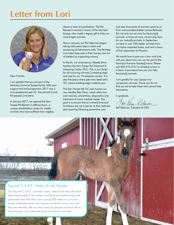### **Letter from Lori**



Dear Friends,

I am grateful that you are part of the Kentucky Humane Society family. With your support and encouragement, 2017 was a truly exceptional year for the animals – and the people – we serve.

In January 2017, we opened the Sam Swope Pet Retreat in Jeffersontown, a unique rehabilitation center for shelter animals who have suffered from neglect, abuse or lack of socialization. The Pet Retreat is named in honor of the late Sam Swope, who made a legacy gift to help our most fragile animals.

Also in January, our Pet Help Line began taking calls seven days a week and answering all Admissions calls. The Pet Help Line helps keep pets in their homes and out of shelters by supporting owners.

In March, we renamed our Steedly Drive location the Sam Swope Pet Treatment & Lifesaving Center (TLC). This is our "hub" for all incoming animals – readying dogs and cats for our 10 adoption centers. It is also the place where pets who need extra TLC receive leading-edge medical care.

The Sam Swope Pet TLC also houses our new Healthy Pets Clinic, which offers lowcost vaccines, preventives, diagnostics and treatment of minor medical needs. The goal is to ensure that an owner's financial limitations are not a barrier to their beloved pets receiving lifesaving preventive care.

Last year thousands of animals came to us from overcrowded shelters across Kentucky. But not only are we here for Kentucky's animals: in times of crisis, we are also here for our nation's animals. In September, we took in over 250 shelter animals from hurricane-impacted areas, and sent a team of first responders to Houston.

We would love to give you a tour and chat with you about how you can be part of the Kentucky Humane Society's future. Please call 502-515-3131 to schedule a tour or to learn more about how you can help Kentucky's animals.

I am grateful for your passion for companion animals. Thank you for all that you do to help those who cannot help themselves.

In gratitude,

Lori Redmon, President & CEO

# Our Equine C.A.R.E. (connect, assist, rescue and educate) team helps Kentucky's at-risk horses, including emaciated strays and orphaned foals like Allie. Each spring KHS takes in up to two Equine C.A.R.E. Helps At-risk Horses

dozen motherless foals who require round-the-clock care until they are weaned. We accustom each to people and farm life so they will grow up to become great companion animals.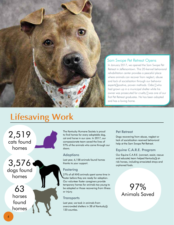#### Sam Swope Pet Retreat Opens

In January 2017, we opened the Sam Swope Pet Retreat in Jeffersontown. This 20-kennel behavioral rehabilitation center provides a peaceful place where animals can recover from neglect, abuse and lack of socialization through our behavior experts' positive, proven methods. Odie – who had grown up in a municipal shelter while his owner was prosecuted for cruelty – was one of our first Pet Retreat graduates. He has been adopted and has a loving home.

### **Lifesaving Work**

2,519 cats found homes

3,576 dogs found homes

> 63 horses found homes

The Kentucky Humane Society is proud to find homes for every adoptable dog, cat and horse in our care. In 2017, our compassionate team saved the lives of 97% of the animals who came through our doors.

#### **Adoptions**

Last year, 6,158 animals found homes thanks to your support.

#### **Fostering**

27% of all KHS animals spent some time in foster before they are ready for adoption. Our volunteer foster caregivers provide temporary homes for animals too young to be adopted or those recovering from illness or injury.

#### **Transports**

Last year, we took in animals from overcrowded shelters in 38 of Kentucky's 120 counties.

#### Pet Retreat

Dogs recovering from abuse, neglect or lack of socialization received behavioral help at the Sam Swope Pet Retreat.

#### Equine C.A.R.E. Program

Our Equine C.A.R.E. (connect, assist, rescue and educate) team helped Kentucky's atrisk horses, including emaciated strays and orphaned foals.

### 97% Animals Saved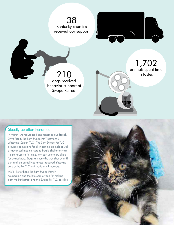

#### Steedly Location Renamed

In March, we repurposed and renamed our Steedly Drive facility the Sam Swope Pet Treatment & Lifesaving Center (TLC). The Sam Swope Pet TLC provides admissions for all incoming animals as well as advanced medical care to fragile shelter animals. It also houses a full-time, low-cost veterinary clinic for owned pets. Ziggy, a kitten who was shot by a BB gun and left partially paralyzed, received lifesaving care at the Pet TLC and made a full recovery.

We'd like to thank the Sam Swope Family Foundation and the late Sam Swope for making both the Pet Retreat and the Swope Pet TLC possible.

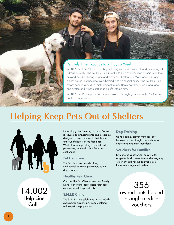#### Pet Help Line Expands to 7 Days a Week

In 2017, our free Pet Help Line began taking calls 7 days a week and answering all Admissions calls. The Pet Help Line's goal is to help overwhelmed owners keep their beloved pets by offering advice and resources. Kristen and Mikey adopted Banjo, a deaf hound, but became overwhelmed with his special needs. The Pet Help Line recommended a positive reinforcement trainer. Banjo now knows sign language, and Kristen and Mikey can't imagine life without him.

In 2017, our Pet Help Line was made possible through grants from the ASPCA and Banfield Foundation.

### **Helping Keep Pets Out of Shelters**



14,002 Help Line Calls

Increasingly, the Kentucky Humane Society is focused on providing proactive programs designed to keep animals in their homes and out of shelters in the first place. We do this by supporting overwhelmed pet owners, many who face financial challenges.

#### Pet Help Line

The Pet Help Line provided free, confidential advice to pet owners seven days a week.

#### Healthy Pets Clinic

Our Healthy Pets Clinic opened on Steedly Drive to offer affordable basic veterinary care to owned dogs and cats.

#### S.N.I.P. Clinic

The S.N.I.P. Clinic celebrated its 100,000th spay/neuter surgery in October, helping reduce pet overpopulation.

#### Dog Training

Using positive, proven methods, our behavior trainers taught owners how to understand and train their dogs.

#### Vouchers for Families

KHS offered vouchers for spay/neuter surgeries, basic preventives and emergency veterinary care for the beloved pets of financially struggling families.

356 owned pets helped through medical vouchers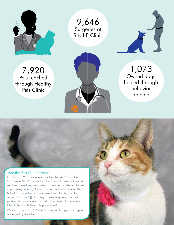

9,646 Surgeries at S.N.I.P. Clinic



7,920 Pets reached through Healthy Pets Clinic



1,073 Owned dogs helped through behavior training

7

#### Healthy Pets Clinic Opens

On March 1, 2017, we opened the Healthy Pets Clinic at the Sam Swope Pet TLC on Steedly Drive. The clinic provides low-cost vaccines, preventives, basic veterinary services and diagnostics five days a week, removing financial barriers for low-income families. Millie lost most of her fur due to severe flea allergies, and her owner, John, couldn't afford regular veterinary care. The clinic provided flea preventives and medication. John called a month later, thrilled that Millie was happy and well.

We want to recognize PetSmart Charities for their generous support of the Healthy Pets Clinic.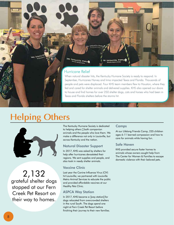

**Oudeville furness** 

siteville fu

Routsville furry

#### Hurricane Relief

When natural disaster hits, the Kentucky Humane Society is ready to respond. In September, Hurricanes Harvey and Irma impacted Texas and Florida. Thousands of people and pets were displaced. Four KHS team members flew to Houston, where they fed and cared for shelter animals and delivered supplies. KHS also opened our doors to house and find homes for over 250 shelter dogs, cats and horses who had been in Texas and Florida shelters before the storms hit.

### **Helping Others …**



2,132 grateful shelter dogs stopped at our Fern Creek Pet Resort on their way to homes.

The Kentucky Humane Society is dedicated to helping others – both companion animals and the people who love them. We make a difference not only in Louisville, but across Kentucky and the nation.

#### Natural Disaster Support

In 2017, KHS was asked by shelters for help after hurricanes devastated their regions. We sent supplies and people, and also took in needy shelter animals.

#### Vaccine Clinic

Last year the Canine Influenza Virus (CIV) hit Louisville; we partnered with Louisville Metro Animal Services to educate the public and provided affordable vaccines at our Healthy Pets Clinic.

#### ASPCA Way Station

In 2017, KHS became a "way station" for dogs relocated from overcrowded shelters in the rural South. The dogs spend one night at Fern Creek Pet Resort before finishing their journey to their new families.

#### Camps

At our Lifelong Friends Camp, 235 children ages 6-11 learned compassion and how to care for animals while having fun.

#### Safe Haven

KHS provided secure foster homes to animals whose owners sought help from The Center for Women & Families to escape domestic violence with their beloved pets.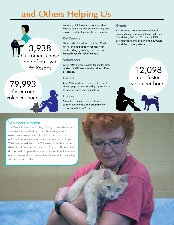# **… and Others Helping Us**



79,993 foster care volunteer hours

#### We are grateful to our many supporters. Each of you is making our community and region a better place for shelter animals.

#### Pet Resorts

Thousands of families chose Fern Creek Pet Resort and Eastpoint Pet Resort for pet boarding, grooming and day care. Proceeds benefit shelter animals.

#### **Volunteers**

Pet Resorts worked at KHS events and provided office 12,098 Over 450 volunteers cared for shelter pets, worked at KHS events and provided office assistance.

#### **Fosters**

Over 225 families provided foster care to kittens, puppies, cats and dogs, providing a temporary home and lots of love.

#### Donors

More than 19,250 donors chose to support our animals and programs by donating to KHS in 2017.

#### **Grants**

KHS received grants from a number of animal charities, including the Arnall Family Foundation, PetSmart Charities, ASPCA, Best Friends Animal Society and PEDIGREE Foundation, among others.

### non-foster volunteer hours



#### Volunteers in Action

The Kentucky Humane Society is lucky to have dedicated volunteers who walk dogs, socialize kittens, work at events, volunteer at the S.N.I.P. Clinic and transport animals from overcrowded shelters to our doors. Kaye West was named the 2017 Volunteer of the Year for her dedication to our Pet Photography Program. Three to four days a week, Kaye and her assistant, Carol Brinkman, are at our main facility, photographing shelter animals so they will be adopted faster.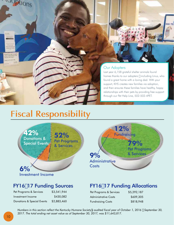uuoptions



#### Our Adopters

Last year 6,158 grateful shelter animals found homes thanks to our adopters – including Linus, who found a great home with a loving dad. With your support, KHS creates new families via adoption, and then ensures these families have healthy, happy relationships with their pets by providing free support through our Pet Help Line, 502-502-4PET.

### **Fiscal Responsibility**



Pet Programs

Investment Income

Pet Programs & Services \$3,541,944 Investment Income \$430,082 Donations & Special Events \$2,883,460

& Services **79%** Pet Programs & Services **12% Fundraising 9% Administrative Costs** 

### FY16–17 Funding Sources FY16–17 Funding Allocations

| Pet Programs & Services  | \$5,292,187 |
|--------------------------|-------------|
| Administrative Costs     | \$609,305   |
| <b>Fundraising Costs</b> | \$818,948   |

*Numbers in this section reflect the Kentucky Humane Society's audited fiscal year of October 1, 2016 – September 30, 2017. The total ending net asset value as of September 30, 2017, was \$11,643,817.*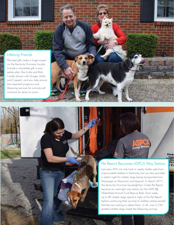### Lifelong Friends

Planned gifts make a huge impact on the Kentucky Humane Society. Include a charitable gift in your estate plan, like Linda and Bob Cordts (shown with Ginger, Molly and Copper), and you help ensure that essential programs and lifesaving services for animals will continue for years to come.

**DESCRIPTION AND ARRANGEMENT** 

Animal Relocati

Carp<br>Fran OSTI<br>VW.C

11,

### Pet Resort Becomes ASPCA Way Station

Last year, KHS not only took in needy shelter pets from overcrowded shelters in Kentucky, but we also provided a restful night for shelter dogs being transported from Mississippi to Wisconsin and beyond. In March 2017, the Kentucky Humane Society's Fern Creek Pet Resort became an overnight way station for the ASPCA's WaterShed Animal Fund Rescue Ride. Each week, up to 80 shelter dogs spend a night at the Pet Resort before continuing their journey to shelters where excited families are waiting to adopt them. In all, over 2,100 grateful shelter dogs made the lifesaving journey.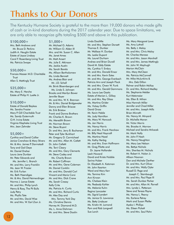## **Thanks to Our Donors**

The Kentucky Humane Society is grateful to the more than 19,000 donors who made gifts of cash or in-kind donations during the 2017 calendar year. Due to space limitations, we are only able to recognize gifts totaling \$500 and above in this publication.

#### \$100,000+

Mrs. Beth Andrews and Mr. Bruce D. Perkins Judith A. Heuglin Estate Estate of Joyce Lindsay Carol F. Rosenberg Living Trust Ms. Patricia Swope

#### \$50,000+

Frances Masser M.D. Charitable **Trust** Allen S. Mattingly Trust

#### \$25,000+

Ms. Mary E. Herche Estate of Philip H. Luette Jr.

#### \$10,000+

Estate of Donald Bayless Ms. Sandra Frazier Mary P. Gill Charitable Trust Ms. Sandy Gutermuth O.H. Irvine Estate Virginia Klapheke Living Trust Mrs. Jean Zehnder

#### \$5,000+

Cynthia and David Collier Janice Crenshaw & Mary Stivers Mr. & Mrs. James P. Darmstadt Tony and Gail Deye Mr. Daniel Dreher Laura Jane Dunbar Mr. Peter Edwards and Ms. Jennifer L. Branch Mr. and Mrs. Larry Franklin Ms. Jean W. Frazier Mr. Erik Furlan Ms. Beth Haendiges Mr. & Mrs. David Heimerdinger Norma J. Lance Estate Mr. and Mrs. Philip Lynch Henry & Roxy, The Pit Bulls Judy Petry Ms. Phyllis Tate Mr. and Mrs. David Wise Mr. and Mrs. W. Earl Zion Jr.

#### \$1,000+

Mr. Michael G. Adams Mr. William O. Alden III Mrs. and Mr. Susan C. Allen Ms. Janet Ames Mr. Matt Ansert Ms. Julie E. Atkinson Ms. Jackie Austin Ms. Sarah Barela Ms. Allison Bartholomew Ms. Linda Bennett Ms. Andrea Blair and Mr. J.D. Schall Mr. Brink Bloembergen and Ms. Linda S. Johnsen Brooks and Marilyn Bower Jennifer Boyer Mr. and Mrs. W. K. Brennan Mr. & Mrs. Daniel Bridgewater Danny and Ellen Briscoe Mr. Erik Bristow Frank and Donna Brothers Mr. Charles K. Brown Ms. Meredith Brown Mr. Norman Brown Mr. Steve Bryant Dr. and Mrs. Jerry B. Buchanan Peter and Tyler Burkhart Mr. Gregory D. Carmichael Mr. and Mrs. Allan M. Catlett Dr. John Celletti Ms. Terri Cleary Mr. and Mrs. Gary Clements Mr. Steve Codey and Ms. Charity Brown Mr. Robert Coffman Mr. and Mrs. Gene Coleman Mr. Daniel Conklin Mr. and Mrs. Donald Corl Vincent and Maria Corsi Mr. and Mrs. Dick Crane Ms. Sarah Creasy Kelly Crite Ms. Patricia A. Curtis Mr. and Mrs. Richard Curtis Mr. Alex Day and Mrs. Tammy York Day Ms. Christine Dennis Harvey M. Diamond M.D. Ms. L. Anne Dishman Mr. and Mrs. Steve Doolin

#### Linda Doolittle

Mr. and Mrs. Stephen Dorsett Thomas E. Dunbar Mr. Wallace H. Dunbar Ms. Leslie Dupont Ms. Laurel Durham Andrea and Brian Duvall David M. Eddy Estate Ms. Cynthia Y. Embry Mr. and Mrs. Donald Ensor Mr. and Mrs. Kevin Estes Mr. and Mrs. George Everbach Patricia Ann and Joseph Flock Mr. and Mrs. Owen W. Funk Mr. and Mrs. Gerald Gammons Ms. Laura Lee Gastis Estate of Marian L. Gilkey Mr. and Mrs. Ray Glass Ms. Martina Grider Ms. Vickey Griffin David Gross Mr. Kevin Hable Ms. Judy Hamilton Ms. Mary W. Hancock Ms. Jan Harris Ms. Nancy Harris Mr. and Mrs. Frank Harshaw Mr. Billy Neal Haycraft Ms. Martina Hazel Ms. Kathy Herbig Mr. and Mrs. Evan Hoffmann Mr. Greg Pilotte and Dr. Jayne Hollander Leah Howard David and Krista Hubble Sarina Huber Dr. Elizabeth A. Katzman Mr. John Kearton Ward and Mary Kerr Ms. Tamina Kim Ann Kirwan Ms. Chelsea Klein Ms. Peabody Kohler Ms. Melanie Kuhn Regina Lancaster Ms. Sigrid Landert Ms. Janice G. Lawrence Ms. Betty Lindauer Ms. Kristin M. Lomond Pam and Rob Longwell Sue Lorch

Ms. Mary Margaret Lowe Ms. Amy Luttrell Ms. Betty J. Maloy Mr. and Mrs. Chris Maloy Mr. Charles Marasa Mr. and Mrs. Jason Marshall Mr. and Mrs. James Mattingly Mr. John W. Mayhugh Marion McClain Mrs. Mary McClean Ms. Patricia McConnell Mr. Mike McJunkins & Mrs. Deb Dillon Palmer and Robin McKay Dr. and Mrs. Richard Medley Ms. Stephanie Melder Kurt Metzmeier Ms. Ellen B. Mihan Miss Hannah Miller Jennifer and Chad Miller Mr. and Mrs. Joseph Mills Brian Minrath Ms. Nancy M. Minyard Dr. Michelle Moran Mr. Victor Morris Ms. Brooke A. Morrow Michael and Sandra Mrkacek Mr. Mark Nally Mr. John P. Nash Ms. Nancy Naughton Ms. Mary Lee Nelson Ms. Bettye Nichols Mrs. Sherilea M. Nichols Mr. Robert A. Nolan Jr. Allison Noonan Dan and Michele Oerther Dr. and Mrs. Kurt Oliver Mr. and Mrs. Wally Oyler Russell D. Page and Joseph C. Stambaugh Mr. and Mrs. Paul Pape III Ms. Sarah Dunbar Parker Mr. and Mrs. Allan M. Parnell Mrs. Lynda L. Patterson Steve and Teresa Payne Ms. Nancy L. Pearcy Ms. Earlene Petrey Mark and Susan Pfeifer Ayako I. Phillips Ms. Eileen Pickett Mr. and Mrs. Saul Pohn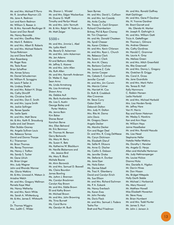Mr. and Mrs. Michael P. Porro Mr. R. Jonathan Raymon J.D. Ms. Jane A. Redmon Lori and Kevin Redmon Mr. William S. Reeser Jr. Mr. & Mrs. Kenneth Reutlinger III Susan and Don Revell Ms. Nancy Reynolds Mr. and Mrs. Geoffrey Ritter Mr. Mark E. Robbins Mr. and Mrs. Albert B. Roberts Mr. and Mrs. Michael Roberts Tonya Robinson Joy and Dave Roelfs Alan Rosenberg Mr. Roger Ross Ms. Tesla Ruser Brian Schaffner Ms. Aimee Schory Mr. Daniel Schusterman Mr. William R. Scroggins Mr. Lewis P. Seiler Jr. Ms. Lindsay Shafer Mr. and Mrs. Robert H. Shipp Ms. Cathy Shircliff Ms. Christine Smith Mr. and Mrs. Don E. Smith Mr. and Mrs. Layne Smith Ms. Jackie Sollinger Ms. Renee Spadie Ms. Leslie Spetz Mr. and Mrs. Matt Stone Mr. & Mrs. Keith R. Strausburg Leslie and Joel Stream Ellen Stubbs-Gosney Ms. Angela Sullivan Louis Ms. Rebecca Tamas David and Donna Tharpe R.J. Thieneman Mr. Brian Thomas Ms. Renay Thommen Ms. Nancy J. Trafton Ms. Sandy S. Tucker Mr. Gene Ulrich Mr. Brian Unger Mrs. Judy Wagner John and Rhonda Wanner Ms. Gloria Watkins Mr. & Mrs. Linwood A. Watson Jr. Ariadne Welch Mr. and Mrs. Gregory Wellman Pamela Kaye West Ms. Nancy Wetherby Mr. and Mrs. Kevin White Ms. Sarah A. Whittenburg Mr. & Mrs. James E. Whitworth Jr. Dr. Thomas Wiggins Mrs. Judith C. Wilder

Ms. Sharon L. Winstel Mr. and Mrs. Edgar Wockenfuss Mr. Duane G. Wolff Timothy and Perilyn Wood Mr. and Mrs. John Yarmuth Mr. & Mrs. Ralph W. Yoakum Jr. Mr. Matt Zeiger

#### $$500+$

Mr. and Mrs. Jimmie L. Abel Ms. Lydia Aberli Ms. Beverly D. Ackerman Mr. and Mrs. John Ackerman Ms. Jen Adams Kit and Bethann Afable Mr. Jeffrey S. Aizawa Mr. and Mrs. John Allen Ms. Ruth Allen Mr. and Mrs. Kenneth Anderson Dr. Walter E. App Sean Arms Ms. Linda Armstrong Ms. Lisa Armstrong Shawn Arny Ms. Debbie Ault Ms. Barb Auslander-Heim Ms. Lisa S. Austin George Bailey and Porter Watkins Ms. Jenna Bain Kim Baker Sheree Banet Kanchan Barve Mrs. Ellen Behrend Mr. Eric Benmour Mr. Thomas M. Benson Gerry Berkowitz Ms. Mary M. Berry Ms. Susan K. Betz Ms. Katherine W. Blackburn Mr. Neville Blakemore and Ms. Jessica Bird Ms. Mary R. Block Michele Boone Mr. Alvin Borowick Mr. and Mrs. Samuel D. Boswell Ms. Claire Bourdon James Bowling Ms. JoAnn J. Brennan Ms. Carolyn Brockman Carolyn Kay Brown Mr. and Mrs. Eddie Brown Eli and Kathy Brown Mr. Michael Brown Mr. and Mrs. John Browning Ms. Trina Burnett Ms. Carol Burns Ms. Geralyn M. Bush

#### Sean Byrnes

Mr. and Mrs. David L. Callison Mr. and Mrs. Ian Cassidy Ms. Anita Cauley Ms. Tracey E. Cecil-Simpson Richard Chamberlain Britney, Phil & Ryan Chaney Mr. Tim Chapman Mr. and Ms. Donald Chasteen Ms. Syndi Chesser Ms. Karen Childers Mr. and Mrs. Kevin Chlarson Mr. and Mrs. Ryan L. Church Ms. Rebecca Clark Ms. Susan J. Clark Ms. Ann M. Cleary Ms. Barbara Cochran Ms. Suzanne Z. Cole Ms. Janice Cooper Ms. Celesta E. Cornelison Jennifer Cornell Mr. and Mrs. Jim Corwin Ms. Marcia Cotner Ms. Harriett M. Cox Dr. Ruth B. Craddock Alex Cravanas Mr. Steve Curry Galen Daihl Deborah Dalton Mrs. Judy H. Dalton Mrs. Rita M. Dama John Davis Mr. Gregory Deam Angela Decker Ms. Marsha Decker Kim and Roger Deel Dr. and Mrs. R. Craig DeWeese Ms. Caryn Dickinson Ms. Elizabeth Dieruf Ms. Sallie R. DiLaura Ms. Anne G. Discher Ms. Caitlin S. Dobson Ms. Jennifer Drake Ms. Stefanie A. Dunbar Ms. Jane Dyer Ms. Nola Eaton Ms. Denise Edsell Ms. Traci K. Eikenberry David and Carolyn Eirich Ms. Sue Ellison Mr. and Mrs. Richard Eschman Ms. P. A. Eubank Ms. Nancy Everbach Ms. Karen Eves Mr. John Ferreby Ms. Doris Flack Mr. and Mrs. Samuel J. Fodera Tasha Fox Brett and Paul Friedman

Mr. and Mrs. Ronald Gaffney Matt Gahlinger Mr. and Mrs. Gene P. Gardner Ms. H. Yvonne Gardner Mr. Brent Garrett and Ms. Glenda M. Marker Mr. Joseph R. Gathright Jr. Mr. and Mrs. William Gatti Tricia A. Gettelfinger Mr. Thomas L. Gilmore Ms. Andrea Gleason Ms. Cathy Gordinas Mr. Harold C. Grammer Ms. Laurie A. Gray Ms. Melissa Green Mr. and Mrs. Mitch Greenfield Ms. Rita Greenwell Mr. and Mrs. Danny L. Gregory Ms. Gretchen B. Griggs Ms. Carol A. Gross Ms. Jane Guardiola Mr. and Mrs. Mark Hahn Ms. Teresa B. Hall Kelly Hammons C. Robbin Hansen Leslie Harbold Mr. and Mrs. Michael Harbold Mrs. Lisa Harden-Tandy Mr. Jeffrey Hare Van H. Harris Ray and Karen Hatzman Mr. Wesley S. Hawkins Ken and Ann Hays Mr. William Hays Jaime Hazelbaker Mr. and Mrs. Ronald Hazuda Ms. Lisa Head Stephanie Heller Natalie Heller-Watkins Ms. Dorothy I. Hencker Ms. Angela G. Herps Allen and Michelle Hertzman Ms. Judy Hettmansperger Ms. Louise Hickox Dianna Hicks Mrs. Danielle A. Higdon Mr. Darrin Hines Mr. Don Hissan Ms. Bridget Hittepole Holly Garth Stable Mr. Michael J. Horbaniuk Ms. Mary Howard Mr. Matthew Howell Miss Elizabeth Howerton Mr. Steve Huey Mr. Brian Humbent Mr. and Mrs. Todd Hunter Mr. James S. Hurt Mr. John J. Janson Jr.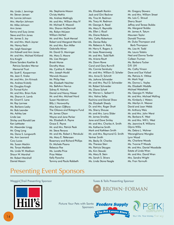Ms. Linda J. Jennings Mr. Steven Jensen Mr. Lonnie Johnson Mrs. Marilyn Johnson Mr. Mike Johnson Ann Jones Kenny and Susy Jones Steve and Erin Jones Mr. James S. Joy Mr. and Mrs. Mark Joyner Ms. Nancy Keck Ms. Leigh Kessinger Jim Kidwell and Ann Jones Mr. and Mrs. Michael Kirkland Kris Knight Diane Sanders Koehler & Patricia Sanders Werner Memorial Trust Mr. Scott E. Kooperman Ms. Jean E. Kreke Mr. and Mrs. Jim Krinock Ms. Andrea Kristofy Mr. Douglas Krogh Dr. Forrest Kuhn Mr. and Mrs. Brian Kute Ms. Sharon A. Lamb Mr. Grant E. Lane Mr. Ray Larmee Ms. Barbara Lasky Mr. Bob Leander Ms. Ashley Lee Linda Lee Shirley and Ronald Lee Ken LeMaster Mr. Alexander Lingg Mr. Greg Long Ms. Dana S. Longworth Ms. Ann Leonard Cory Lucas Ms. Susan Mackin Ms. Tonya Madden Ms. Linda W. Madison Shaun W. Marshal Mr. Robert Marshall Daniel Mason

Ms. Stephanie Mason Christy Mathis Ms. Andrea Mattingly Mr. and Mrs. William May IV Mr. Michael R. Mazzoli Mrs. Sharon McDermott Ms. Robyn McLean William McNeil Mr. and Mrs. Scott Menzel Robert and Margaret Merrick Mr. and Mrs. Ron Miller Gabrielle Minar Mr. David G. Moninger Ms. Mary S. Moore Ms. Lisa Morgan Brook Morse Dorothy Moss Ms. Cynthia K. Moter Mrs. Joseph Mudd Warwick Musson Mr. Philip Nee Ms. Elizabeth Neichter Ms. BethAnn Nevius Sidney R. Nichols Daniel and Nancy Nieser Mr. and Mrs. Michael Nord Susan Nordstrom Billy J. Norsworthy Miss Karen O'Hara The Oikawa and Ristagno Fund Mr. James Olson Wayne and Jane Parker Ms. Elizabeth A. Payne Grace E. Payne Mr. and Mrs. Patrick Peak Mr. Steve Penava Mr. and Ms. Robert J. Petrokubi Ms. Mary E. Petterssen Rosemary and Richard Phillips Dr. Michele Pisano Rebecca Poe Ms. Loretta Price Price Weber Kelly Pyzocha

Tommy and Paula Rabbeth

Ms. Elizabeth Rankin Jack and Gini Reckner Ms. Tina M. Redmon Ms. Tracy M. Redmon Mr. George A. Reed Ms. Mary K. Reynolds Ms. Ellen J. Ricail Ms. Diane Roberts Mrs. Cathy Robertson Ms. Denise Roby Ms. Rebecca A. Roby Mr. Harry K. Rogers Jr. Mr. Isaac Rosenzweig Mr. and Mrs. Todd Roth Ms. Ariana Routt Ms. Dawn Rowe Carol and Gary Rumrill Ms. Connie Sandusky Mr. and Mrs. William D. Scheler Mrs. Anne D. Schmitt Ms. JoAnne Schneider Mr. and Mrs. Paul D. Schneider Mr. Robert Schneider Ms. Diane Schott Mr. Warren L. Seibert II Mrs. Vatina Selby Kachina and Daniel Shaw Ms. Elizabeth Shealy Dr. and Mrs. Roger Shott Ms. Sherry Shouse Mr. and Mrs. Larry Slider Mr. James Smalley Jane and Dave Smiley Mr. and Mrs. Charles A. Smith Ms. Katherine Smith Mark and Kathleen Smith Mr. and Mrs. Raymond G. Smith Vertner Smith Ms. Becky St. Charles Ms. Theresa Starr Ms. Patricia Staugas Ms. Kim Stawski Ms. Mary B. Stein Ms. Sarah S. Stivers Ms. Linda Stone-Yeagle

Mr. Gregory Stowers Mr. and Mrs. William Street Ms. Lois C. Stroud Sherry Stuart Jeffrey and Teresa Stubbs Ms. Margaret Stubbs Mr. James A. Tatum Maureen Taylor Donald Thomas Mr. Duke Thompson and Barb Thompson Ms. Lisa M. Todd Ms. Laura Tolakis Ned and Donna Towler Colleen Truman Ms. Barbara Tucker D.R. Uhl Ms. Cathy Vinson Dave and Sue Vislisel Ms. Patricia A. Vittitoe Mr. Mark Vogt Ms. Donna L. Voyles Ms. Elizabeth Waddle Michael Wakefield Ms. Georgia H. Walker Mr. and Mrs. Michael Walling Ms. Kimberly J. Waters Ms. Marilyn A. Weaver David and Joan Webb Mr. Anthony Weis Mr. and Mrs. John Werst Ms. Barbara K. West Mr. and Mrs. Will L. West Ms. Jeannine R. Williams Glynis Willis Ms. Debra L. Wohner Warangkhana Wongba Lynn Wood Ms. Charlene Woods Ms. Yvonne P. Woods Mr. and Mrs. Daniel Woodside Estate of Linda Wren Mr. and Mrs. David Wren Mrs. Sandra Wright Ms. Fran Yarmuth

### Presenting Event Sponsors

#### Waggin' Trail Presenting Sponsor Tuxes & Tails Presenting Sponsor



Sponsors







Your life. Your maney. Your way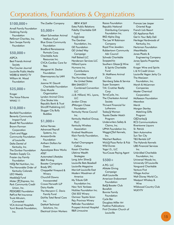### Corporations, Foundations & Organizations

#### \$100,000+

Arnall Family Foundation Goldring Family Foundation PetSmart Charities, Inc. Sam Swope Family Foundation

#### \$50,000+

ASPCA Best Friends Animal **Society** The Courier-Journal Louisville Public Media WDRB & WMYO TV William M. Wood Foundation

#### \$25,000+

Kroger The Voice-Tribune WHAS 11

#### \$10,000+

Banfield Foundation Benevity Community Impact Fund Bissell Pet Foundation Brown-Forman **Corporation** Clark and Riggs Community Foundation of Louisville Delta Dental of Kentucky, Inc. The Dunbar Foundation Feeders Supply Co. Frazier-Joy Family Foundation Hill's Pet Nutrition, Inc. The Honorable Order of Kentucky Colonels LEO Weekly Maddie's Fund Mister "P" Express, Inc. Park Community Credit Union, Inc. PEDIGREE Foundation PetFirst Pet Insurance Truist Altruism, **Connected** VCA Animal Hospitals Yum! Brands Foundation, Inc.

The Zoeller Company

#### \$5,000+

Albert Schweitzer Animal Welfare Fund Blue Grass Community Foundation Bradford Renaissance Portraits Corp. Charitable Auto Resources Inc. CVCA-Cardiac Care for Pets Margaret M. Decker Foundation Eleemosynary by LMH Inc. Joanne W. Gauntt Charitable Foundation Grey Muzzle **Organization** Lyndon Animal Clinic One Stroke Inks Republic Bank & Trust Shircliff Publishing LLC Slugger City Bully Buddies

#### \$1,000+

Active Heroes Advanced Payroll Systems, Inc. AmazonSmile Foundation Anthem Dollars for Doers Apocalypse Brew Works AT&T Automated Lifestyles B&K Printing Booster Campaigns Brady SPC Chappellet Vineyard & **Winery** Churchill Downs Incorporated Crowe Horwath LLP Dairy Kastle The Maryann C. Davis Family Fund DaVita Total Renal Care Inc. DeMott Technical Solutions, Inc. Electrical Union Workers

IBEW #369 Estes Public Relations Fidelity Charitable Gift Fund Frog's Leap The Gardner Foundation, Inc. GE Foundation GE United Way Campaign Half Baked LLC Henderson Services LLC Hilliard Lyons Humana Inc. **Contributions Committee** The Humane Society of the United States IBM-SAM2017 Combined Convention  $\overline{L}$ J.J.B. Hilliard, W.L. Lyons, LLC Jordan Clines JPMorgan Chase **Foundation** Kentucky Horse Council Inc. Kentucky Medical Group, PLLC Kentucky Wireless Association Kindred Healthcare Klein Family Foundation, Inc. Korbel Champagne **Cellars** Kosair Charities Lifetime Wealth **Strategies** Long John Silver's Louisville Bats Baseball Louisville Magazine Marriott Louisville East Modern Woodmen of America My Tribute Gift Foundation Inc.

New York Yankees Nicklies Foundation Inc. Old 502 Winery Oxmoor Toyota-Scion Peju Province Winery Petfinder Foundation Prospect Animal Hospital

R&R Limousine

Razoo Foundation Republic National Distributing Company Foundation Inc. RKD Alpha Dog The Lee W Robinson Company Royal Fine Jewelers Rubbertown Community Adv Council Schwab Charitable Scoppechio Southern Glazer's Wine & Spirits Charitable Fund St. Matthews Animal Clinic Sternberg Sales & Service Super Scoopers T.M. Crutcher Realty **Corp** TerraCycle, Inc. The Charleston Animal **Society** Thrivent Financial for Lutherans Today's Woman Toyota Dealer Match Program Underwriters Safety & Claims, Inc. UPHA Foundation Inc. Waggin' Tail Kennels, Inc. Weichert Realtors Wick's Pizza Parlor & Pub Wild Dunes Yoga I.S., LLC YourCause Paying Agent \$500+ A.P.G. LLC

Allstate Giving Campaign Aloft Louisville American Endowment Foundation Bat's Booster Club Bonefish Bonnie Family Foundation Cycle Bar Douglass Miller Art Fastline Publications First Christian Church of Louisville

Frances Lee Jasper Oriental Rugs French Lick Resort GE Appliance Park Get In Your Belly Deli Heritage Hardwoods of Kentucky, Inc. Hertzman Foundation iHeartMedia Jones Plastic & Engineering Company Jones Sparks Properties LLC Kroger Wine and Spirits L & N Credit Union Louisville Vegan Jerky Co The MacLean Foundation, Inc. Marsh & McLennan Companies Master Chemical **Corporation** McKeeson Foundation Meowhox Merck Morgan Stanley Matching Gifts Program O'Charley's RCS Communications Rivertowne Liquors St. Patrick Stein Automotive Sun Tan City T&S Rentals LLP The Hylands Kennels UBS Financial Services Inc. Unbridled Charitable Foundation, Inc. Universal Woods Inc. University Of Louisville Vanguard Charitable Venture First Village Anchor Walt Disney World Co. Westport Whiskey & Wine Wildwood Country Club WLKY-TV